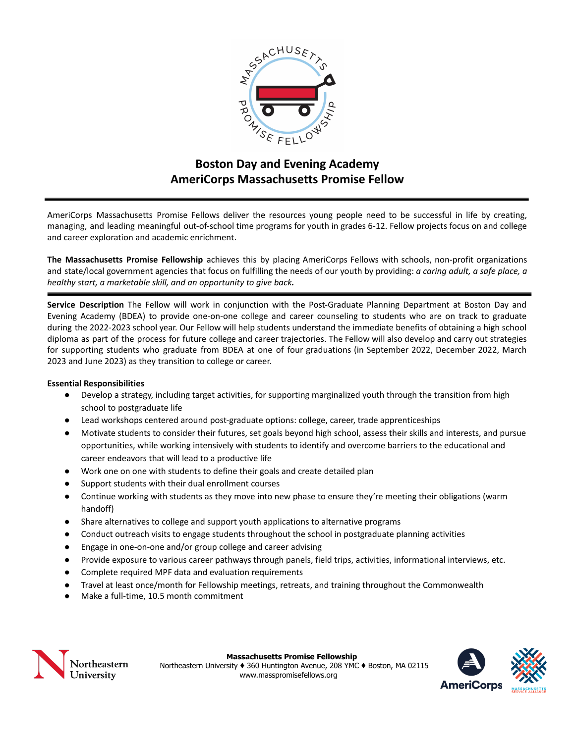

# **Boston Day and Evening Academy AmeriCorps Massachusetts Promise Fellow**

AmeriCorps Massachusetts Promise Fellows deliver the resources young people need to be successful in life by creating, managing, and leading meaningful out-of-school time programs for youth in grades 6-12. Fellow projects focus on and college and career exploration and academic enrichment.

**The Massachusetts Promise Fellowship** achieves this by placing AmeriCorps Fellows with schools, non-profit organizations and state/local government agencies that focus on fulfilling the needs of our youth by providing: *a caring adult, a safe place, a healthy start, a marketable skill, and an opportunity to give back.*

**Service Description** The Fellow will work in conjunction with the Post-Graduate Planning Department at Boston Day and Evening Academy (BDEA) to provide one-on-one college and career counseling to students who are on track to graduate during the 2022-2023 school year. Our Fellow will help students understand the immediate benefits of obtaining a high school diploma as part of the process for future college and career trajectories. The Fellow will also develop and carry out strategies for supporting students who graduate from BDEA at one of four graduations (in September 2022, December 2022, March 2023 and June 2023) as they transition to college or career.

### **Essential Responsibilities**

- Develop a strategy, including target activities, for supporting marginalized youth through the transition from high school to postgraduate life
- Lead workshops centered around post-graduate options: college, career, trade apprenticeships
- Motivate students to consider their futures, set goals beyond high school, assess their skills and interests, and pursue opportunities, while working intensively with students to identify and overcome barriers to the educational and career endeavors that will lead to a productive life
- Work one on one with students to define their goals and create detailed plan
- Support students with their dual enrollment courses
- Continue working with students as they move into new phase to ensure they're meeting their obligations (warm handoff)
- Share alternatives to college and support youth applications to alternative programs
- Conduct outreach visits to engage students throughout the school in postgraduate planning activities
- Engage in one-on-one and/or group college and career advising
- Provide exposure to various career pathways through panels, field trips, activities, informational interviews, etc.
- Complete required MPF data and evaluation requirements
- Travel at least once/month for Fellowship meetings, retreats, and training throughout the Commonwealth
- Make a full-time, 10.5 month commitment